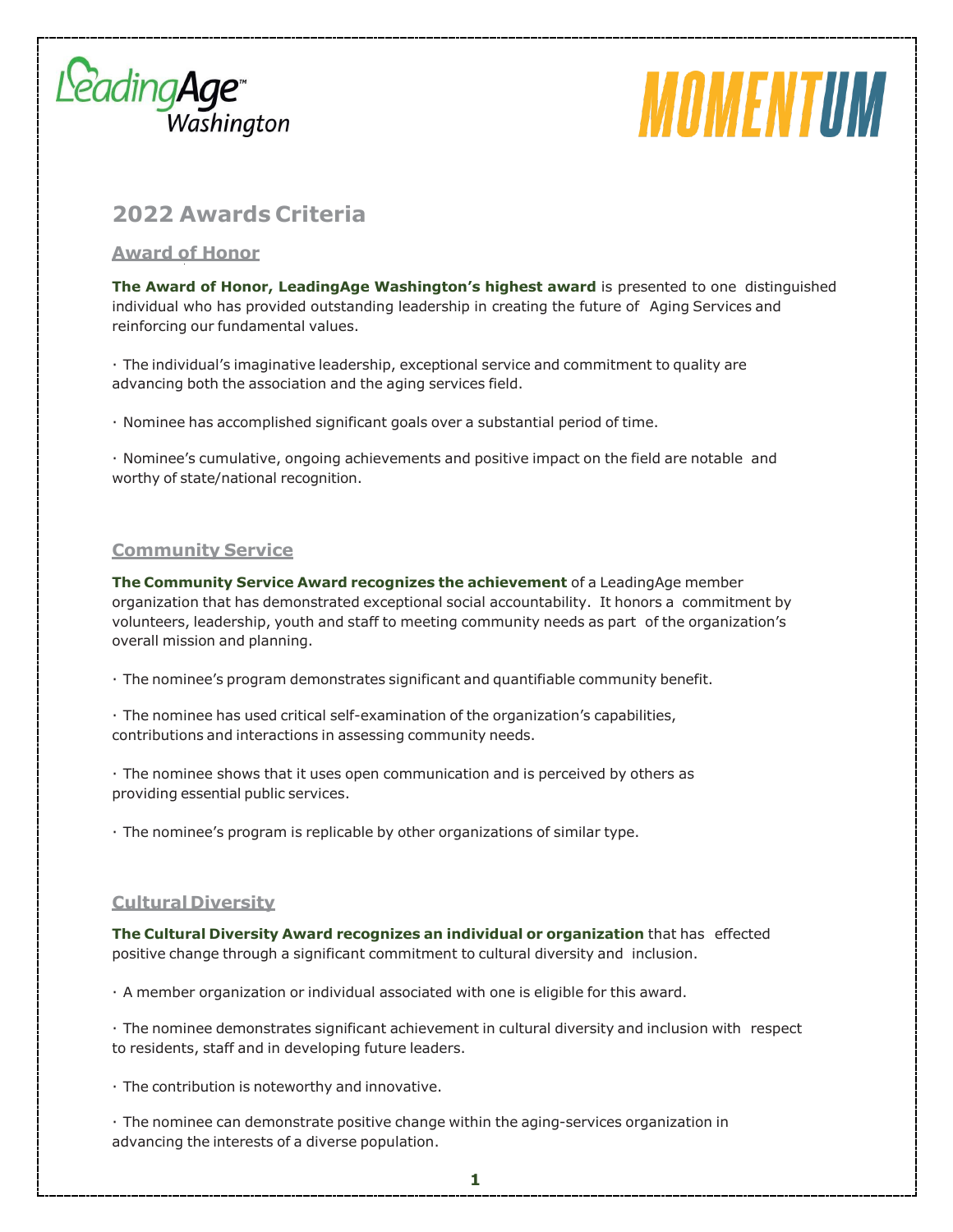

# MOMENTUM

# **2022 Awards Criteria**

## **Award of Honor**

**The Award of Honor, LeadingAge Washington's highest award** is presented to one distinguished individual who has provided outstanding leadership in creating the future of Aging Services and reinforcing our fundamental values.

· The individual's imaginative leadership, exceptional service and commitment to quality are advancing both the association and the aging services field.

· Nominee has accomplished significant goals over a substantial period of time.

· Nominee's cumulative, ongoing achievements and positive impact on the field are notable and worthy of state/national recognition.

### **Community Service**

**The Community Service Award recognizes the achievement** of a LeadingAge member organization that has demonstrated exceptional social accountability. It honors a commitment by volunteers, leadership, youth and staff to meeting community needs as part of the organization's overall mission and planning.

- · The nominee's program demonstrates significant and quantifiable community benefit.
- · The nominee has used critical self-examination of the organization's capabilities, contributions and interactions in assessing community needs.

· The nominee shows that it uses open communication and is perceived by others as providing essential public services.

· The nominee's program is replicable by other organizations of similar type.

### **Cultural Diversity**

**The Cultural Diversity Award recognizes an individual or organization** that has effected positive change through a significant commitment to cultural diversity and inclusion.

· A member organization or individual associated with one is eligible for this award.

· The nominee demonstrates significant achievement in cultural diversity and inclusion with respect to residents, staff and in developing future leaders.

· The contribution is noteworthy and innovative.

· The nominee can demonstrate positive change within the aging-services organization in advancing the interests of a diverse population.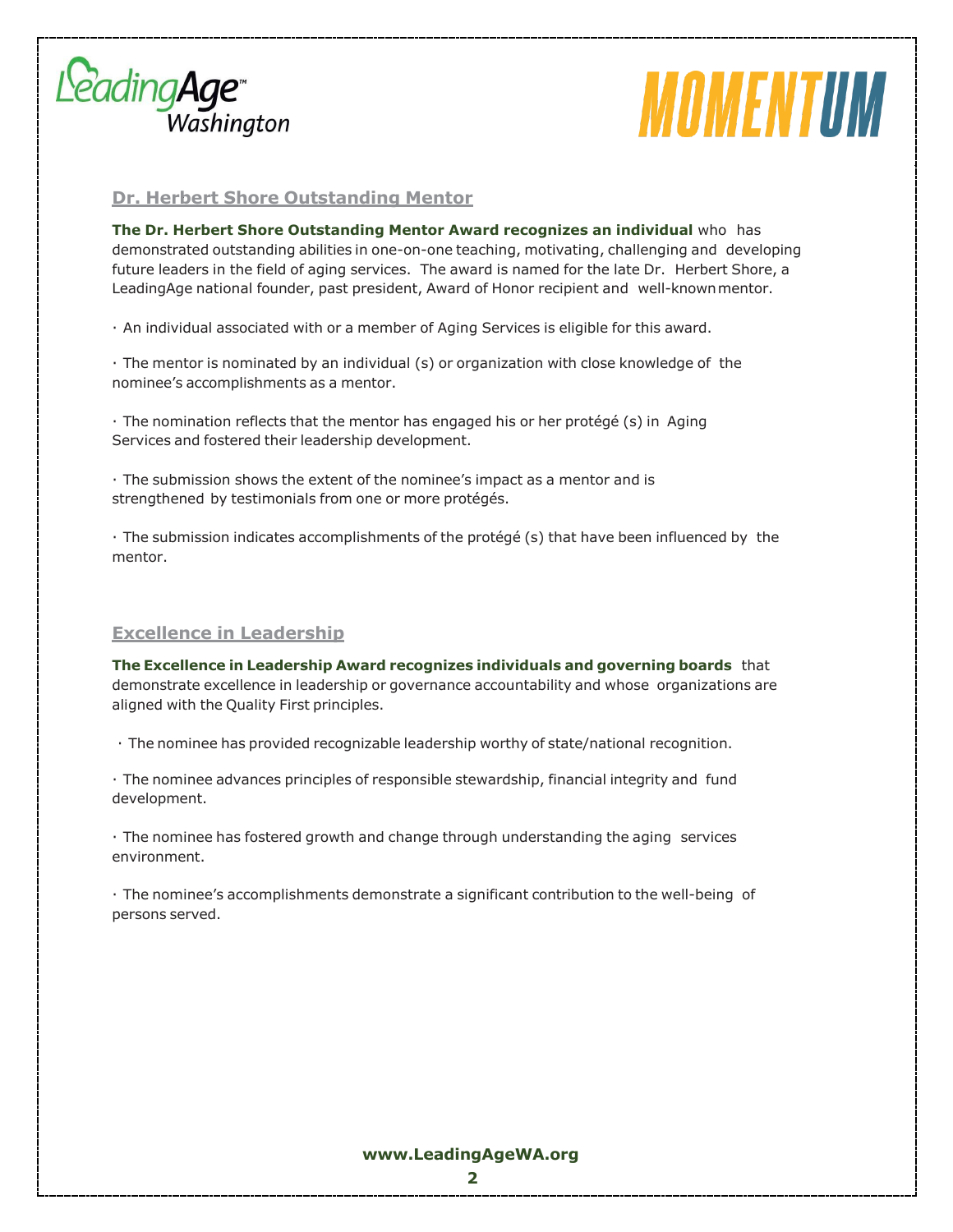

# *MOMENTUM*

### **Dr. Herbert Shore Outstanding Mentor**

**The Dr. Herbert Shore Outstanding Mentor Award recognizes an individual** who has demonstrated outstanding abilities in one-on-one teaching, motivating, challenging and developing future leaders in the field of aging services. The award is named for the late Dr. Herbert Shore, a LeadingAge national founder, past president, Award of Honor recipient and well-knownmentor.

· An individual associated with or a member of Aging Services is eligible for this award.

· The mentor is nominated by an individual (s) or organization with close knowledge of the nominee's accomplishments as a mentor.

· The nomination reflects that the mentor has engaged his or her protégé (s) in Aging Services and fostered their leadership development.

· The submission shows the extent of the nominee's impact as a mentor and is strengthened by testimonials from one or more protégés.

· The submission indicates accomplishments of the protégé (s) that have been influenced by the mentor.

### **Excellence in Leadership**

**The Excellence in Leadership Award recognizes individuals and governing boards** that demonstrate excellence in leadership or governance accountability and whose organizations are aligned with the Quality First principles.

· The nominee has provided recognizable leadership worthy of state/national recognition.

· The nominee advances principles of responsible stewardship, financial integrity and fund development.

· The nominee has fostered growth and change through understanding the aging services environment.

· The nominee's accomplishments demonstrate a significant contribution to the well-being of persons served.

### **[www.LeadingAgeWA.org](http://www.leadingagewa.org/)**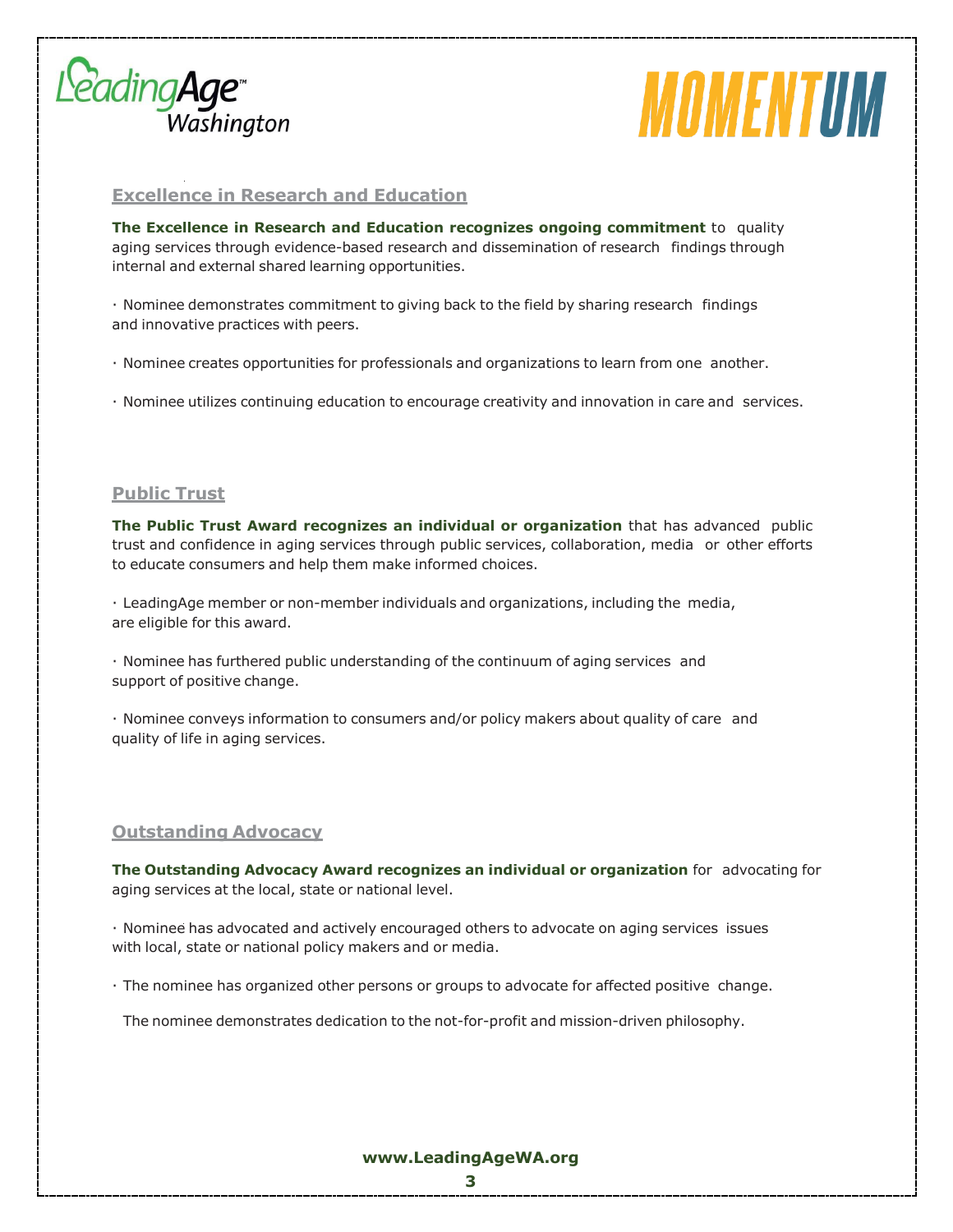

# *MOMENTUM*

### **Excellence in Research and Education**

**The Excellence in Research and Education recognizes ongoing commitment** to quality aging services through evidence-based research and dissemination of research findings through internal and external shared learning opportunities.

· Nominee demonstrates commitment to giving back to the field by sharing research findings and innovative practices with peers.

· Nominee creates opportunities for professionals and organizations to learn from one another.

· Nominee utilizes continuing education to encourage creativity and innovation in care and services.

### **Public Trust**

**The Public Trust Award recognizes an individual or organization** that has advanced public trust and confidence in aging services through public services, collaboration, media or other efforts to educate consumers and help them make informed choices.

· LeadingAge member or non-member individuals and organizations, including the media, are eligible for this award.

· Nominee has furthered public understanding of the continuum of aging services and support of positive change.

· Nominee conveys information to consumers and/or policy makers about quality of care and quality of life in aging services.

### **Outstanding Advocacy**

**The Outstanding Advocacy Award recognizes an individual or organization** for advocating for aging services at the local, state or national level.

· Nominee has advocated and actively encouraged others to advocate on aging services issues with local, state or national policy makers and or media.

· The nominee has organized other persons or groups to advocate for affected positive change.

The nominee demonstrates dedication to the not-for-profit and mission-driven philosophy.

#### **[www.LeadingAgeWA.org](http://www.leadingagewa.org/)**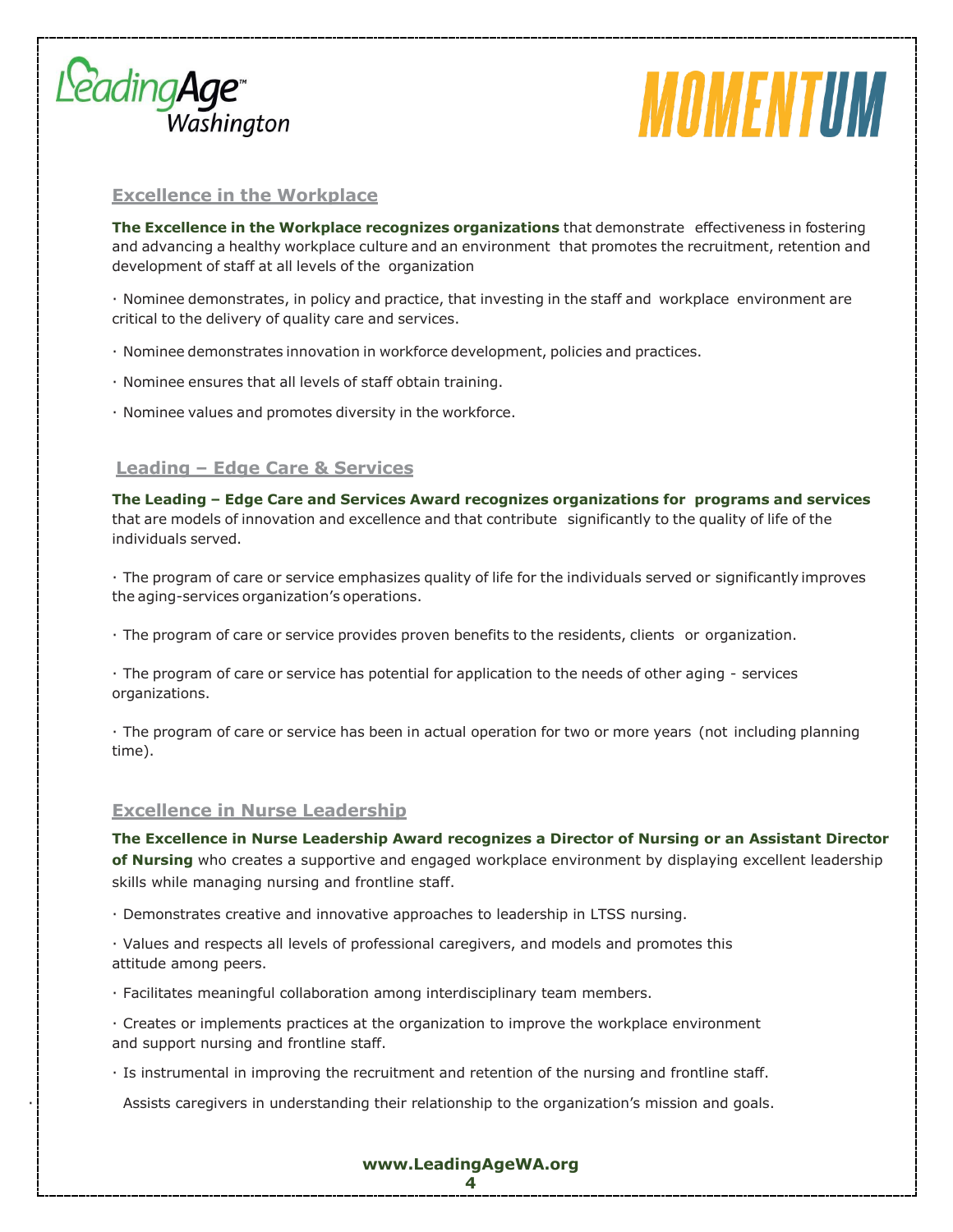



### **Excellence in the Workplace**

**The Excellence in the Workplace recognizes organizations** that demonstrate effectiveness in fostering and advancing a healthy workplace culture and an environment that promotes the recruitment, retention and development of staff at all levels of the organization

· Nominee demonstrates, in policy and practice, that investing in the staff and workplace environment are critical to the delivery of quality care and services.

- · Nominee demonstrates innovation in workforce development, policies and practices.
- · Nominee ensures that all levels of staff obtain training.
- · Nominee values and promotes diversity in the workforce.

### **Leading – Edge Care & Services**

**The Leading – Edge Care and Services Award recognizes organizations for programs and services** that are models of innovation and excellence and that contribute significantly to the quality of life of the individuals served.

· The program of care or service emphasizes quality of life for the individuals served or significantly improves the aging-services organization's operations.

· The program of care or service provides proven benefits to the residents, clients or organization.

· The program of care or service has potential for application to the needs of other aging - services organizations.

· The program of care or service has been in actual operation for two or more years (not including planning time).

#### **Excellence in Nurse Leadership**

**The Excellence in Nurse Leadership Award recognizes a Director of Nursing or an Assistant Director of Nursing** who creates a supportive and engaged workplace environment by displaying excellent leadership skills while managing nursing and frontline staff.

- · Demonstrates creative and innovative approaches to leadership in LTSS nursing.
- · Values and respects all levels of professional caregivers, and models and promotes this attitude among peers.
- · Facilitates meaningful collaboration among interdisciplinary team members.
- · Creates or implements practices at the organization to improve the workplace environment and support nursing and frontline staff.
- · Is instrumental in improving the recruitment and retention of the nursing and frontline staff.

· Assists caregivers in understanding their relationship to the organization's mission and goals.

**[www.LeadingAgeWA.org](http://www.leadingagewa.org/)**

**4**